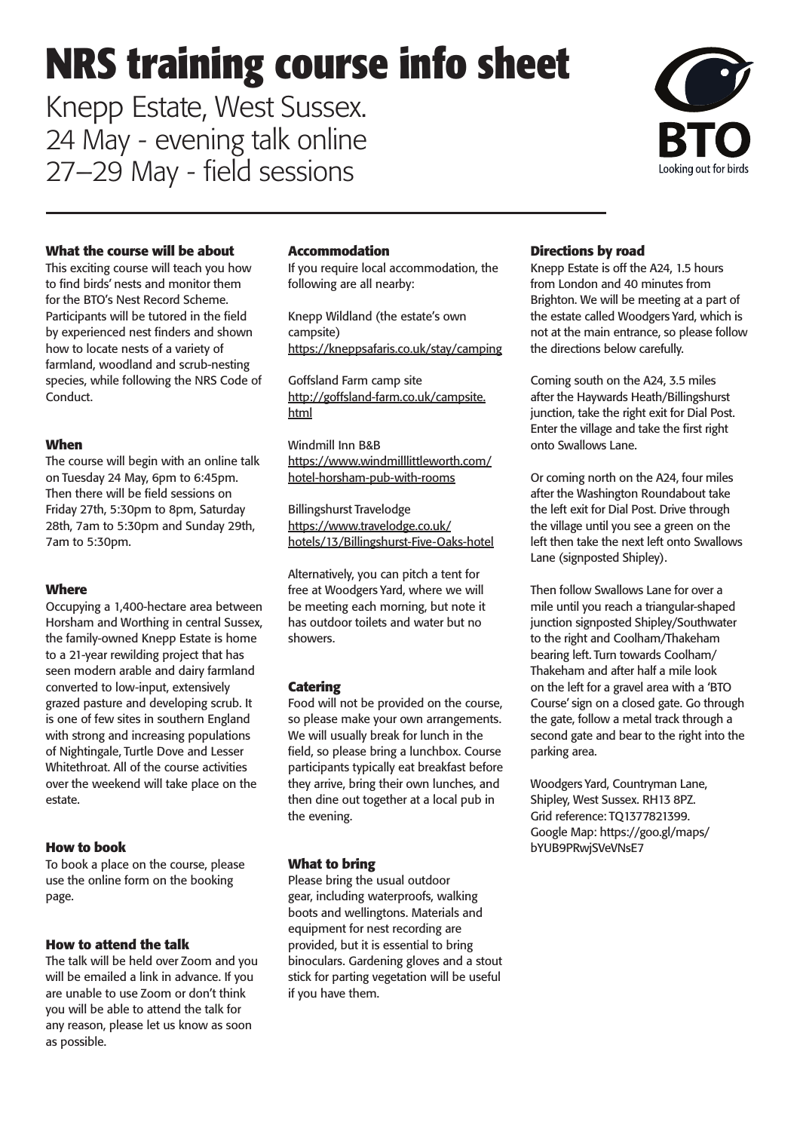# **NRS training course info sheet**

Knepp Estate, West Sussex. 24 May - evening talk online 27–29 May - field sessions



#### **What the course will be about**

This exciting course will teach you how to find birds' nests and monitor them for the BTO's Nest Record Scheme. Participants will be tutored in the field by experienced nest finders and shown how to locate nests of a variety of farmland, woodland and scrub-nesting species, while following the NRS Code of Conduct.

#### **When**

The course will begin with an online talk on Tuesday 24 May, 6pm to 6:45pm. Then there will be field sessions on Friday 27th, 5:30pm to 8pm, Saturday 28th, 7am to 5:30pm and Sunday 29th, 7am to 5:30pm.

#### **Where**

Occupying a 1,400-hectare area between Horsham and Worthing in central Sussex, the family-owned Knepp Estate is home to a 21-year rewilding project that has seen modern arable and dairy farmland converted to low-input, extensively grazed pasture and developing scrub. It is one of few sites in southern England with strong and increasing populations of Nightingale, Turtle Dove and Lesser Whitethroat. All of the course activities over the weekend will take place on the estate.

#### **How to book**

To book a place on the course, please use the online form on the booking page.

#### **How to attend the talk**

The talk will be held over Zoom and you will be emailed a link in advance. If you are unable to use Zoom or don't think you will be able to attend the talk for any reason, please let us know as soon as possible.

#### **Accommodation**

If you require local accommodation, the following are all nearby:

Knepp Wildland (the estate's own campsite) <https://kneppsafaris.co.uk/stay/camping>

Goffsland Farm camp site [http://goffsland-farm.co.uk/campsite.](http://goffsland-farm.co.uk/campsite.html) [html](http://goffsland-farm.co.uk/campsite.html)

Windmill Inn B&B [https://www.windmilllittleworth.com/](https://www.windmilllittleworth.com/hotel-horsham-pub-with-rooms) [hotel-horsham-pub-with-rooms](https://www.windmilllittleworth.com/hotel-horsham-pub-with-rooms)

Billingshurst Travelodge [https://www.travelodge.co.uk/](https://www.travelodge.co.uk/hotels/13/Billingshurst-Five-Oaks-hotel) [hotels/13/Billingshurst-Five-Oaks-hotel](https://www.travelodge.co.uk/hotels/13/Billingshurst-Five-Oaks-hotel)

Alternatively, you can pitch a tent for free at Woodgers Yard, where we will be meeting each morning, but note it has outdoor toilets and water but no showers.

#### **Catering**

Food will not be provided on the course, so please make your own arrangements. We will usually break for lunch in the field, so please bring a lunchbox. Course participants typically eat breakfast before they arrive, bring their own lunches, and then dine out together at a local pub in the evening.

#### **What to bring**

Please bring the usual outdoor gear, including waterproofs, walking boots and wellingtons. Materials and equipment for nest recording are provided, but it is essential to bring binoculars. Gardening gloves and a stout stick for parting vegetation will be useful if you have them.

#### **Directions by road**

Knepp Estate is off the A24, 1.5 hours from London and 40 minutes from Brighton. We will be meeting at a part of the estate called Woodgers Yard, which is not at the main entrance, so please follow the directions below carefully.

Coming south on the A24, 3.5 miles after the Haywards Heath/Billingshurst junction, take the right exit for Dial Post. Enter the village and take the first right onto Swallows Lane.

Or coming north on the A24, four miles after the Washington Roundabout take the left exit for Dial Post. Drive through the village until you see a green on the left then take the next left onto Swallows Lane (signposted Shipley).

Then follow Swallows Lane for over a mile until you reach a triangular-shaped junction signposted Shipley/Southwater to the right and Coolham/Thakeham bearing left. Turn towards Coolham/ Thakeham and after half a mile look on the left for a gravel area with a 'BTO Course' sign on a closed gate. Go through the gate, follow a metal track through a second gate and bear to the right into the parking area.

Woodgers Yard, Countryman Lane, Shipley, West Sussex. RH13 8PZ. Grid reference: TQ1377821399. Google Map: https://goo.gl/maps/ bYUB9PRwjSVeVNsE7